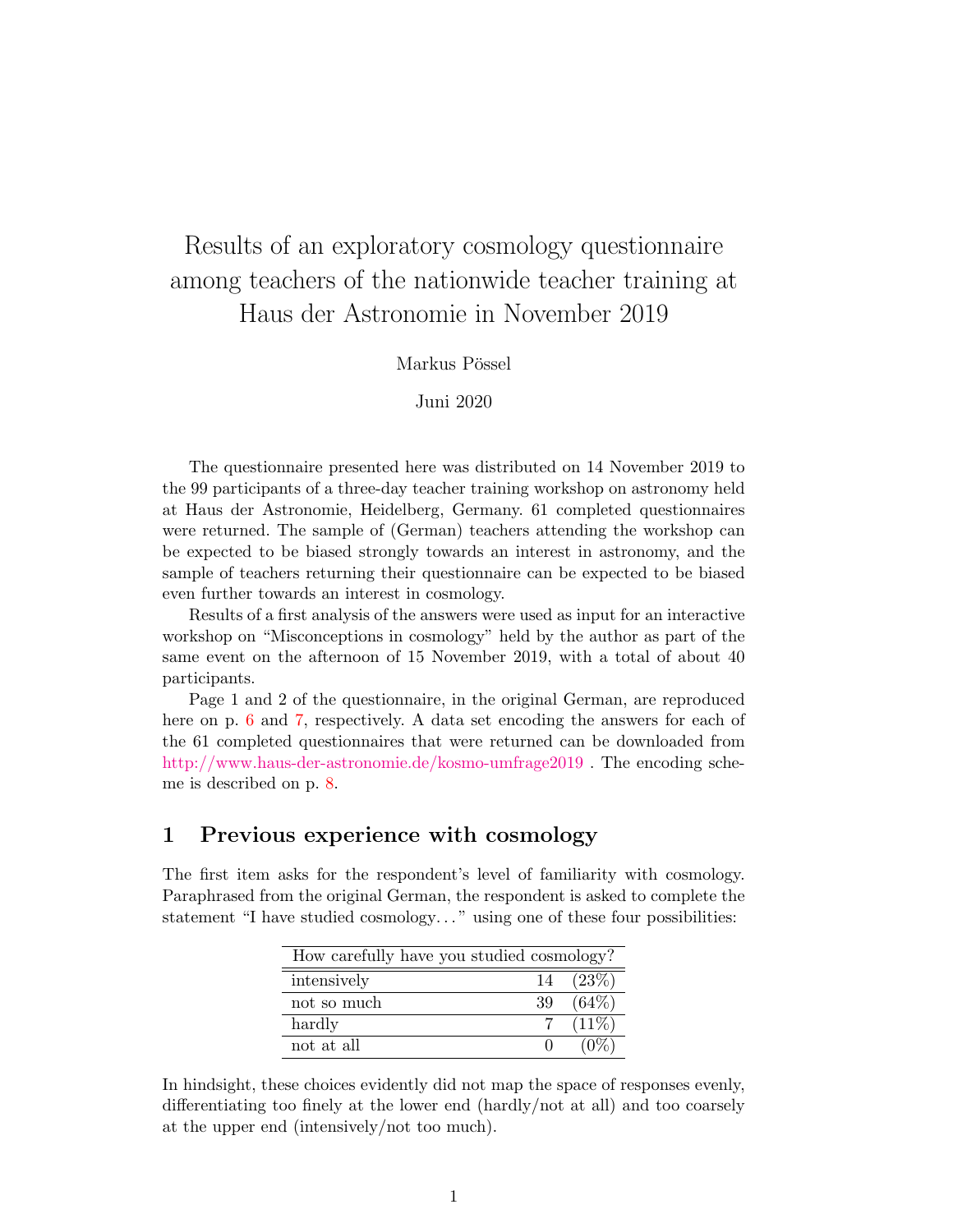# Results of an exploratory cosmology questionnaire among teachers of the nationwide teacher training at Haus der Astronomie in November 2019

#### Markus Pössel

#### Juni 2020

The questionnaire presented here was distributed on 14 November 2019 to the 99 participants of a three-day teacher training workshop on astronomy held at Haus der Astronomie, Heidelberg, Germany. 61 completed questionnaires were returned. The sample of (German) teachers attending the workshop can be expected to be biased strongly towards an interest in astronomy, and the sample of teachers returning their questionnaire can be expected to be biased even further towards an interest in cosmology.

Results of a first analysis of the answers were used as input for an interactive workshop on "Misconceptions in cosmology" held by the author as part of the same event on the afternoon of 15 November 2019, with a total of about 40 participants.

Page 1 and 2 of the questionnaire, in the original German, are reproduced here on p. [6](#page-5-0) and [7,](#page-6-0) respectively. A data set encoding the answers for each of the 61 completed questionnaires that were returned can be downloaded from <http://www.haus-der-astronomie.de/kosmo-umfrage2019> . The encoding scheme is described on p. [8.](#page-7-0)

### 1 Previous experience with cosmology

The first item asks for the respondent's level of familiarity with cosmology. Paraphrased from the original German, the respondent is asked to complete the statement "I have studied cosmology..." using one of these four possibilities:

| How carefully have you studied cosmology? |    |                   |  |
|-------------------------------------------|----|-------------------|--|
| intensively                               |    | $14 \quad (23\%)$ |  |
| not so much                               | 39 | $(64\%)$          |  |
| hardly                                    |    | 7 $(11\%)$        |  |
| not at all                                |    | $(11\%)$          |  |

In hindsight, these choices evidently did not map the space of responses evenly, differentiating too finely at the lower end (hardly/not at all) and too coarsely at the upper end (intensively/not too much).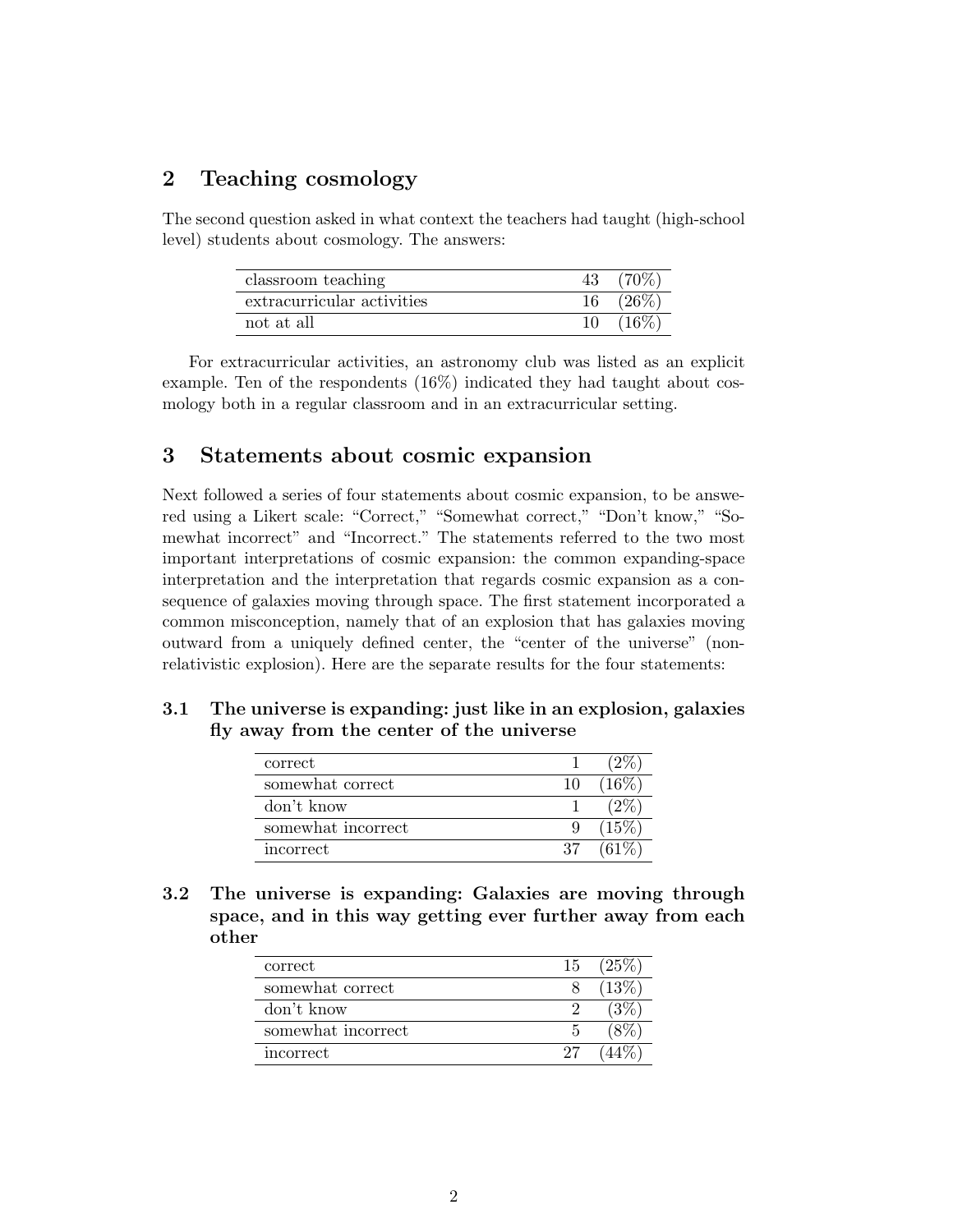## 2 Teaching cosmology

The second question asked in what context the teachers had taught (high-school level) students about cosmology. The answers:

| classroom teaching         |    |         |
|----------------------------|----|---------|
| extracurricular activities |    | $(26\%$ |
| not at all                 | 10 | $(16\%$ |

For extracurricular activities, an astronomy club was listed as an explicit example. Ten of the respondents (16%) indicated they had taught about cosmology both in a regular classroom and in an extracurricular setting.

### 3 Statements about cosmic expansion

Next followed a series of four statements about cosmic expansion, to be answered using a Likert scale: "Correct," "Somewhat correct," "Don't know," "Somewhat incorrect" and "Incorrect." The statements referred to the two most important interpretations of cosmic expansion: the common expanding-space interpretation and the interpretation that regards cosmic expansion as a consequence of galaxies moving through space. The first statement incorporated a common misconception, namely that of an explosion that has galaxies moving outward from a uniquely defined center, the "center of the universe" (nonrelativistic explosion). Here are the separate results for the four statements:

#### 3.1 The universe is expanding: just like in an explosion, galaxies fly away from the center of the universe

| correct            |    |          |
|--------------------|----|----------|
| somewhat correct   | 10 | $(16\%)$ |
| don't know         |    |          |
| somewhat incorrect |    | (15%)    |
| incorrect          | 37 | $61\%$   |

3.2 The universe is expanding: Galaxies are moving through space, and in this way getting ever further away from each other

| correct            |    | $15(25\%)$ |
|--------------------|----|------------|
| somewhat correct   |    | $(13\%)$   |
| don't know         |    | $3\%$      |
| somewhat incorrect |    |            |
| incorrect          | 27 |            |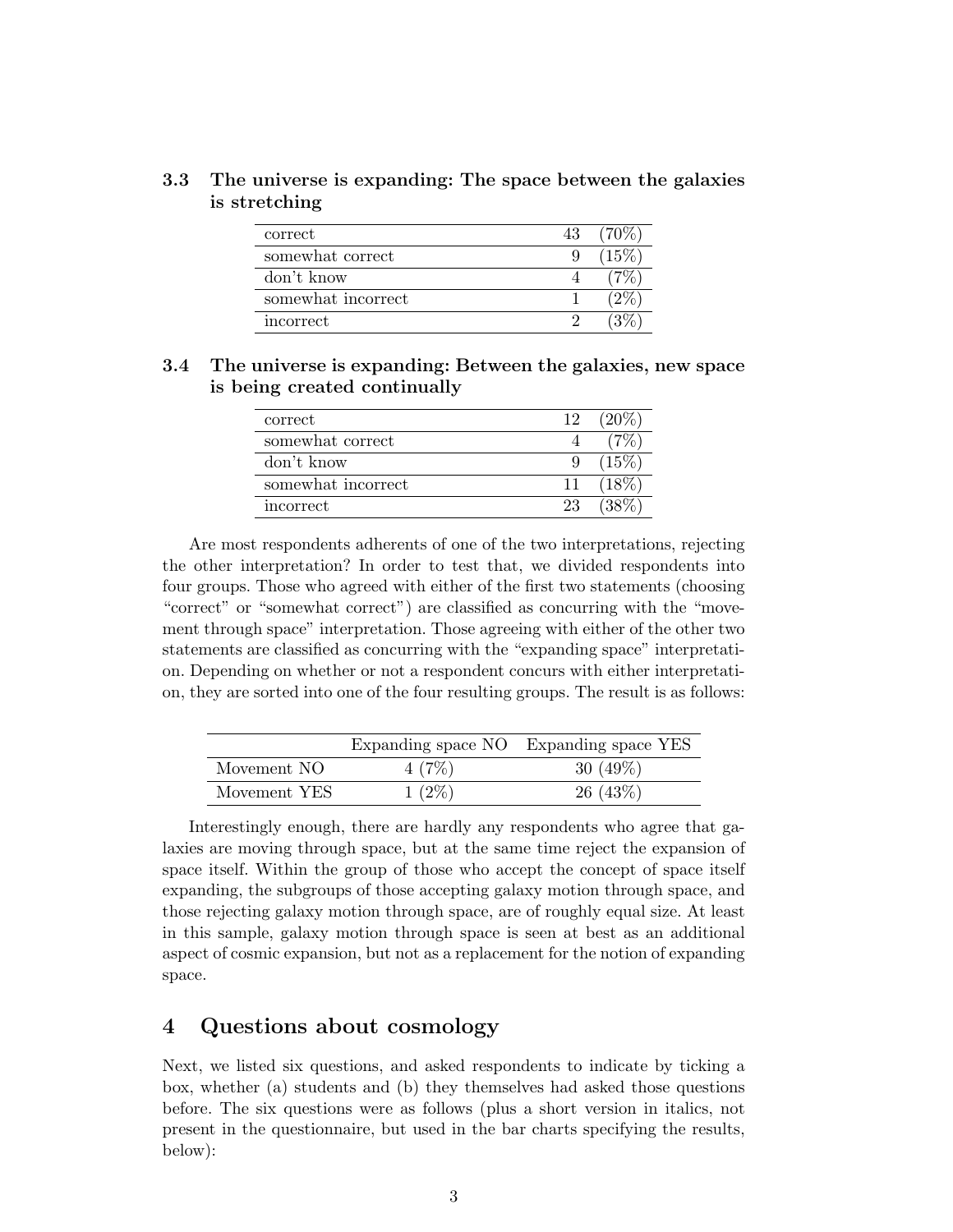#### 3.3 The universe is expanding: The space between the galaxies is stretching

| correct            | 43 |         |
|--------------------|----|---------|
| somewhat correct   | 9  | $(15\%$ |
| don't know         |    |         |
| somewhat incorrect |    |         |
| incorrect          |    |         |

3.4 The universe is expanding: Between the galaxies, new space is being created continually

| correct            | 12 |     |
|--------------------|----|-----|
| somewhat correct   |    |     |
| don't know         |    | 15% |
| somewhat incorrect | 11 |     |
| incorrect          | 23 |     |

Are most respondents adherents of one of the two interpretations, rejecting the other interpretation? In order to test that, we divided respondents into four groups. Those who agreed with either of the first two statements (choosing "correct" or "somewhat correct") are classified as concurring with the "movement through space" interpretation. Those agreeing with either of the other two statements are classified as concurring with the "expanding space" interpretation. Depending on whether or not a respondent concurs with either interpretation, they are sorted into one of the four resulting groups. The result is as follows:

|              |          | Expanding space NO Expanding space YES |
|--------------|----------|----------------------------------------|
| Movement NO  | 4(7%)    | 30 $(49\%)$                            |
| Movement YES | $1(2\%)$ | 26(43%)                                |

Interestingly enough, there are hardly any respondents who agree that galaxies are moving through space, but at the same time reject the expansion of space itself. Within the group of those who accept the concept of space itself expanding, the subgroups of those accepting galaxy motion through space, and those rejecting galaxy motion through space, are of roughly equal size. At least in this sample, galaxy motion through space is seen at best as an additional aspect of cosmic expansion, but not as a replacement for the notion of expanding space.

### 4 Questions about cosmology

Next, we listed six questions, and asked respondents to indicate by ticking a box, whether (a) students and (b) they themselves had asked those questions before. The six questions were as follows (plus a short version in italics, not present in the questionnaire, but used in the bar charts specifying the results, below):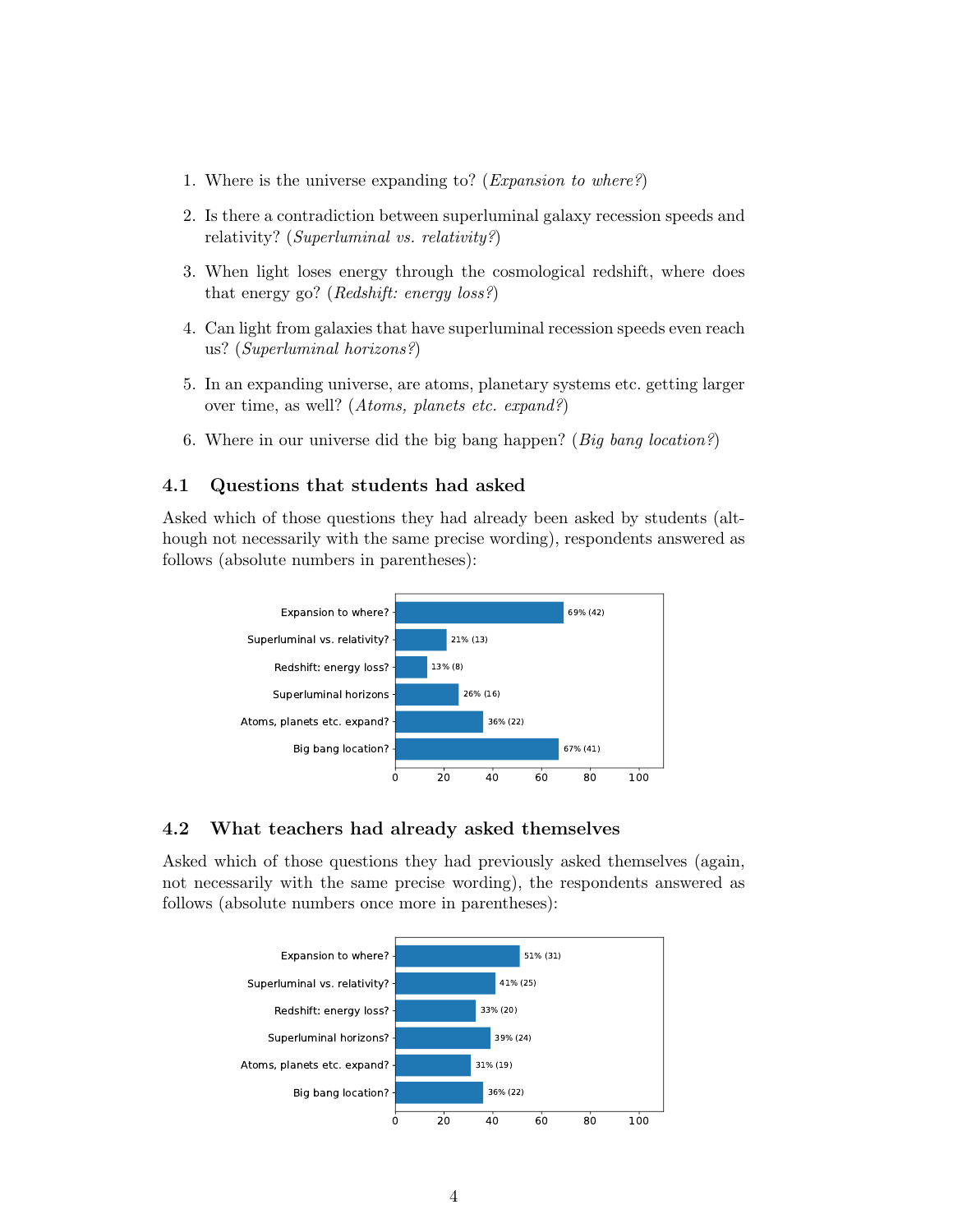- 1. Where is the universe expanding to? (Expansion to where?)
- 2. Is there a contradiction between superluminal galaxy recession speeds and relativity? (Superluminal vs. relativity?)
- 3. When light loses energy through the cosmological redshift, where does that energy go? (Redshift: energy loss?)
- 4. Can light from galaxies that have superluminal recession speeds even reach us? (Superluminal horizons?)
- 5. In an expanding universe, are atoms, planetary systems etc. getting larger over time, as well? (Atoms, planets etc. expand?)
- 6. Where in our universe did the big bang happen? (Big bang location?)

#### 4.1 Questions that students had asked

Asked which of those questions they had already been asked by students (although not necessarily with the same precise wording), respondents answered as follows (absolute numbers in parentheses):



#### 4.2 What teachers had already asked themselves

Asked which of those questions they had previously asked themselves (again, not necessarily with the same precise wording), the respondents answered as follows (absolute numbers once more in parentheses):

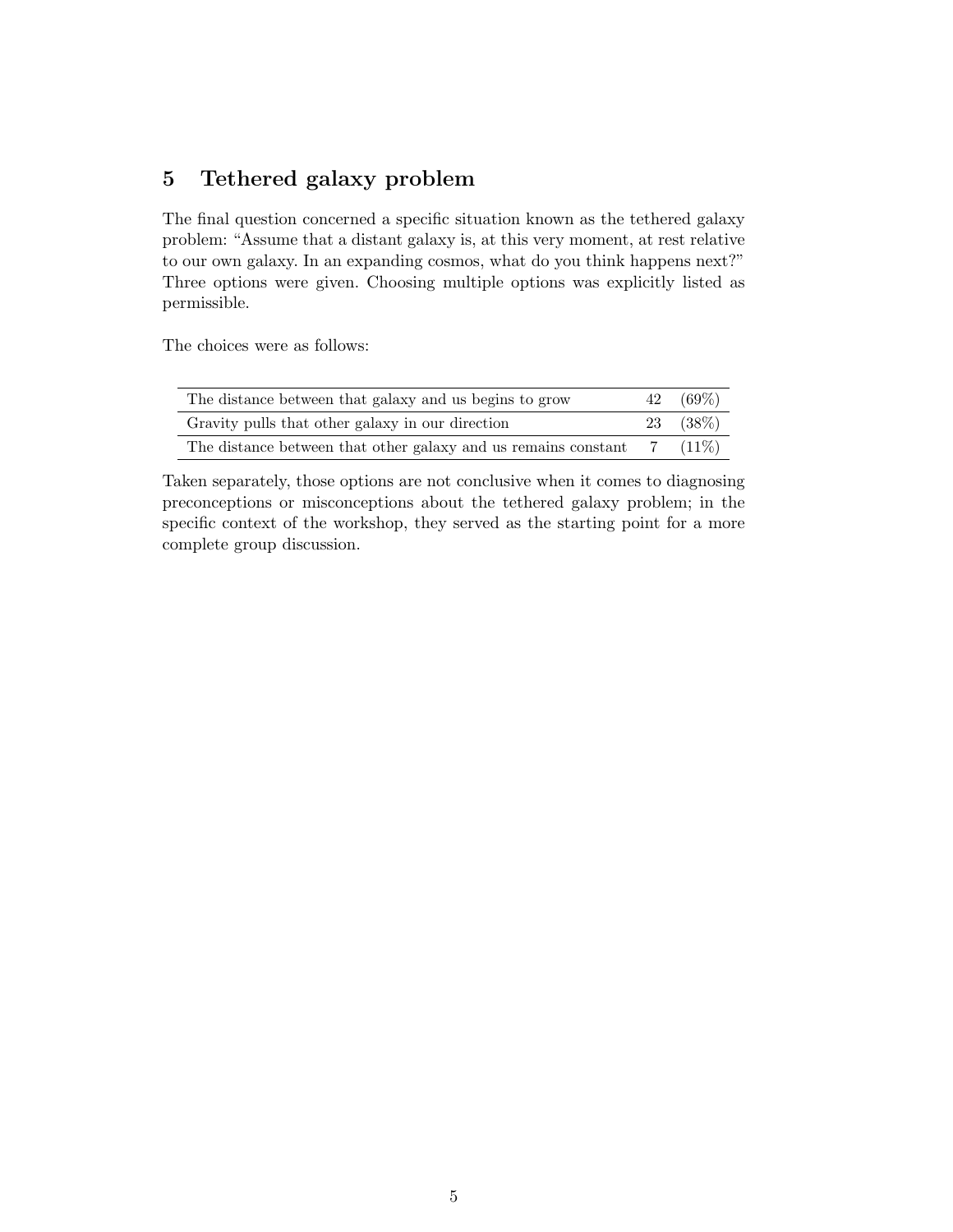# 5 Tethered galaxy problem

The final question concerned a specific situation known as the tethered galaxy problem: "Assume that a distant galaxy is, at this very moment, at rest relative to our own galaxy. In an expanding cosmos, what do you think happens next?" Three options were given. Choosing multiple options was explicitly listed as permissible.

The choices were as follows:

| The distance between that galaxy and us begins to grow         | 42 | $(69\%)$  |
|----------------------------------------------------------------|----|-----------|
| Gravity pulls that other galaxy in our direction               |    | 23 (38\%) |
| The distance between that other galaxy and us remains constant |    | $(11\%)$  |

Taken separately, those options are not conclusive when it comes to diagnosing preconceptions or misconceptions about the tethered galaxy problem; in the specific context of the workshop, they served as the starting point for a more complete group discussion.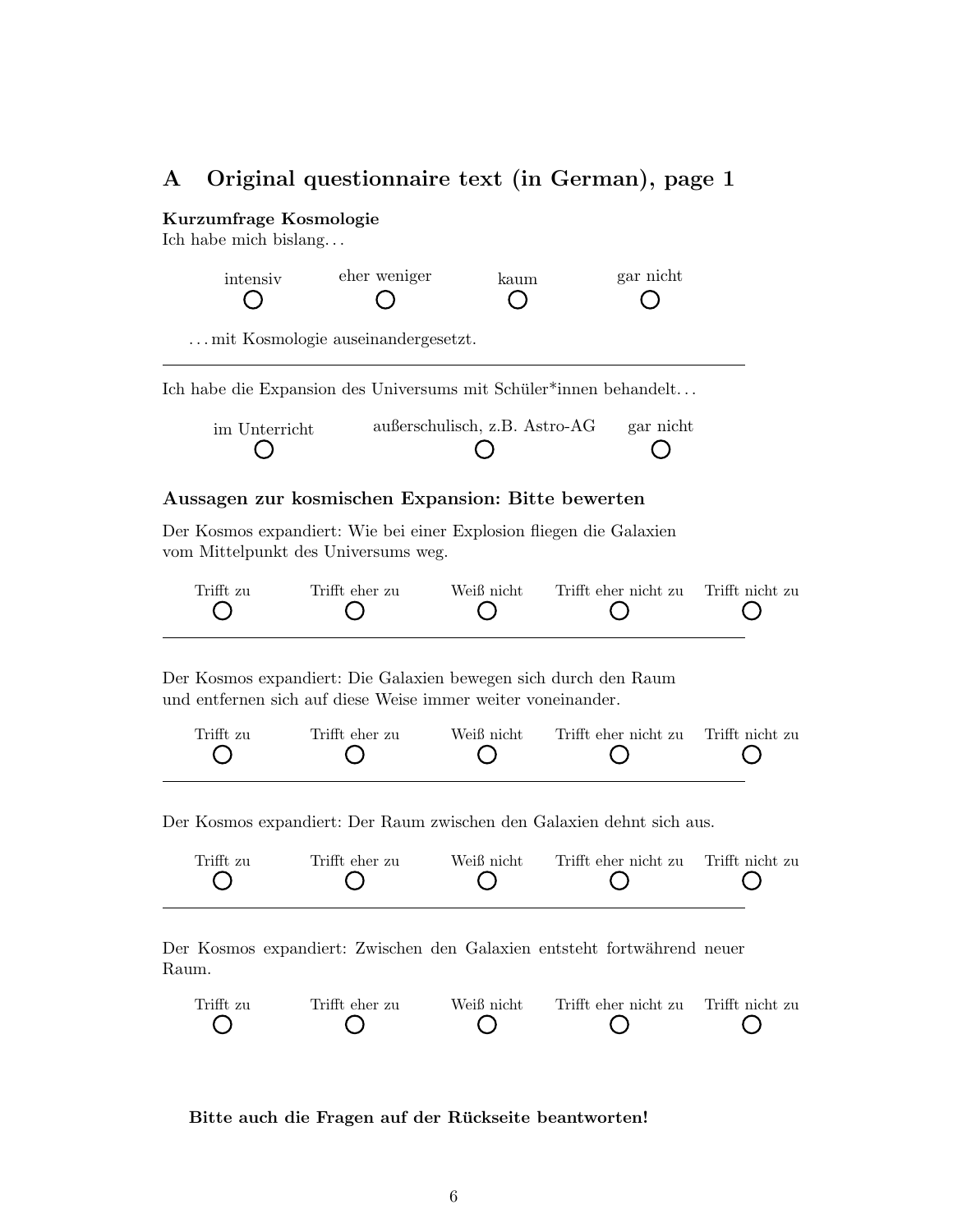### <span id="page-5-0"></span>A Original questionnaire text (in German), page 1

#### Kurzumfrage Kosmologie

Ich habe mich bislang. . .

| intensiy | eher weniger                       | kaum | gar nicht |  |
|----------|------------------------------------|------|-----------|--|
|          | mit Kosmologie auseinandergesetzt. |      |           |  |

Ich habe die Expansion des Universums mit Schüler\*innen behandelt...

| im Unterricht | außerschulisch, z.B. Astro-AG | gar nicht |
|---------------|-------------------------------|-----------|
|               |                               |           |

#### Aussagen zur kosmischen Expansion: Bitte bewerten

Der Kosmos expandiert: Wie bei einer Explosion fliegen die Galaxien vom Mittelpunkt des Universums weg.

| Trifft zu | Trifft eher zu | Weiß nicht | Trifft eher nicht zu Trifft nicht zu |  |
|-----------|----------------|------------|--------------------------------------|--|
|           |                |            |                                      |  |
|           |                |            |                                      |  |

Der Kosmos expandiert: Die Galaxien bewegen sich durch den Raum und entfernen sich auf diese Weise immer weiter voneinander.

| Trifft zu | Trifft eher zu | Weiß nicht | Trifft eher nicht zu Trifft nicht zu |  |
|-----------|----------------|------------|--------------------------------------|--|
|           |                |            |                                      |  |

Der Kosmos expandiert: Der Raum zwischen den Galaxien dehnt sich aus.



Der Kosmos expandiert: Zwischen den Galaxien entsteht fortwährend neuer Raum.



Bitte auch die Fragen auf der Rückseite beantworten!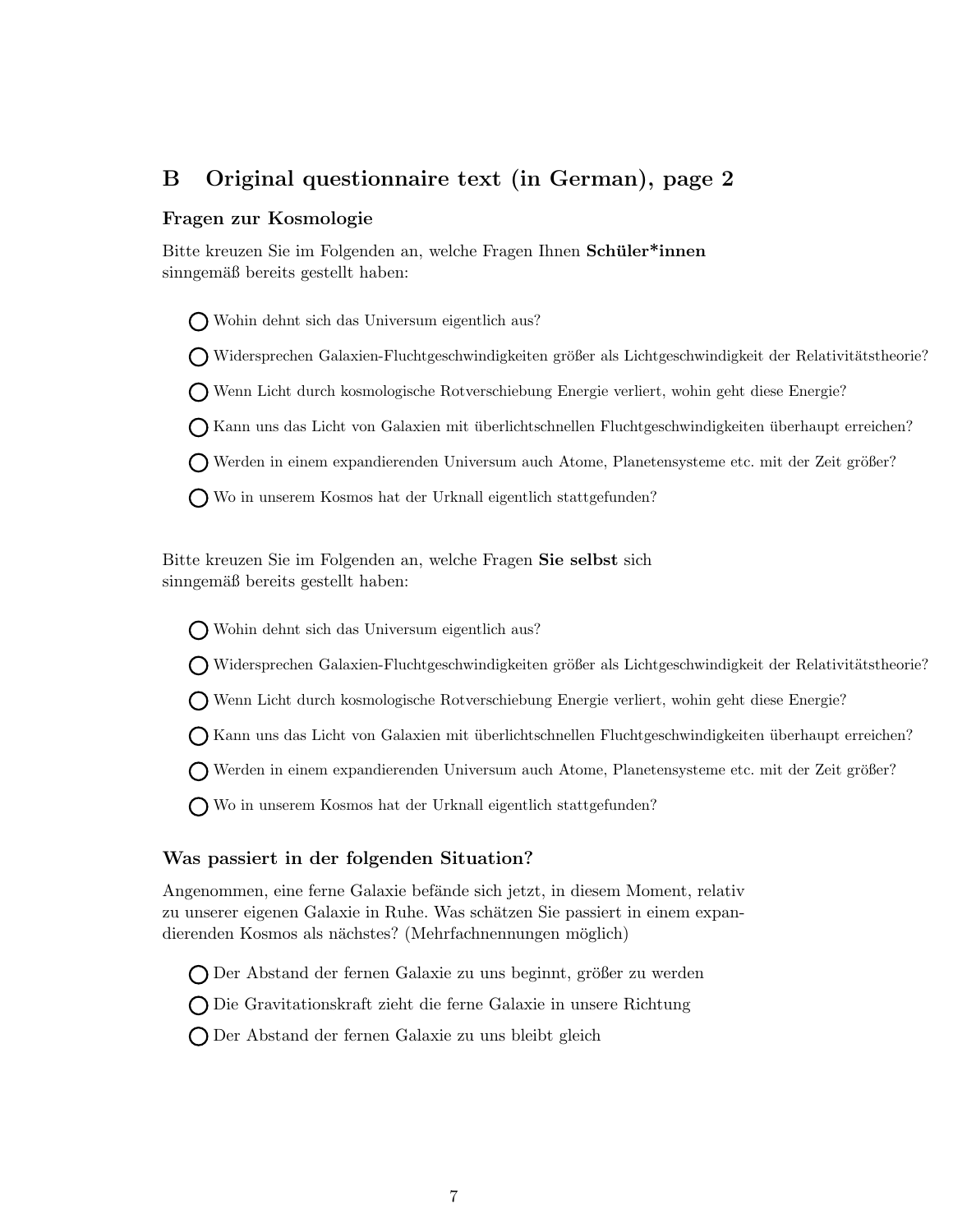# <span id="page-6-0"></span>B Original questionnaire text (in German), page 2

#### Fragen zur Kosmologie

Bitte kreuzen Sie im Folgenden an, welche Fragen Ihnen Schüler\*innen sinngemäß bereits gestellt haben:

Wohin dehnt sich das Universum eigentlich aus?

**O** Widersprechen Galaxien-Fluchtgeschwindigkeiten größer als Lichtgeschwindigkeit der Relativitätstheorie?

Wenn Licht durch kosmologische Rotverschiebung Energie verliert, wohin geht diese Energie?

Kann uns das Licht von Galaxien mit uberlichtschnellen Fluchtgeschwindigkeiten ¨ uberhaupt erreichen? ¨

Werden in einem expandierenden Universum auch Atome, Planetensysteme etc. mit der Zeit größer?

Wo in unserem Kosmos hat der Urknall eigentlich stattgefunden?

Bitte kreuzen Sie im Folgenden an, welche Fragen Sie selbst sich sinngemäß bereits gestellt haben:

Wohin dehnt sich das Universum eigentlich aus?

(Widersprechen Galaxien-Fluchtgeschwindigkeiten größer als Lichtgeschwindigkeit der Relativitätstheorie?

Wenn Licht durch kosmologische Rotverschiebung Energie verliert, wohin geht diese Energie?

Kann uns das Licht von Galaxien mit uberlichtschnellen Fluchtgeschwindigkeiten ¨ uberhaupt erreichen? ¨

Werden in einem expandierenden Universum auch Atome, Planetensysteme etc. mit der Zeit größer?

Wo in unserem Kosmos hat der Urknall eigentlich stattgefunden?

#### Was passiert in der folgenden Situation?

Angenommen, eine ferne Galaxie befände sich jetzt, in diesem Moment, relativ zu unserer eigenen Galaxie in Ruhe. Was schätzen Sie passiert in einem expandierenden Kosmos als nächstes? (Mehrfachnennungen möglich)

ODer Abstand der fernen Galaxie zu uns beginnt, größer zu werden

Die Gravitationskraft zieht die ferne Galaxie in unsere Richtung

Der Abstand der fernen Galaxie zu uns bleibt gleich